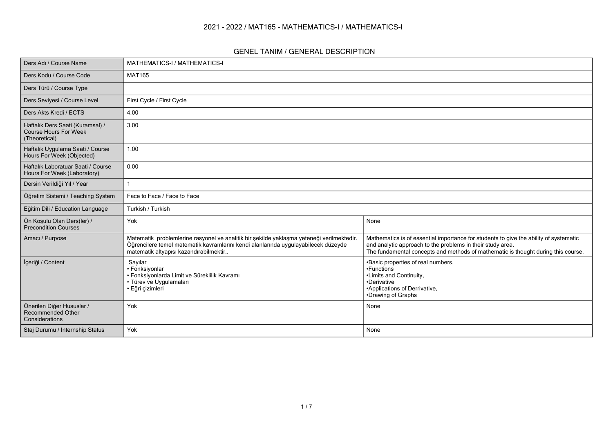#### **2021 - 2022 / MAT165 - MATHEMATICS-I / MATHEMATICS-I**

#### **GENEL TANIM / GENERAL DESCRIPTION**

| Ders Adı / Course Name                                                            | MATHEMATICS-I / MATHEMATICS-I                                                                                                                                                                                             |                                                                                                                                                                                                                                          |  |  |  |  |
|-----------------------------------------------------------------------------------|---------------------------------------------------------------------------------------------------------------------------------------------------------------------------------------------------------------------------|------------------------------------------------------------------------------------------------------------------------------------------------------------------------------------------------------------------------------------------|--|--|--|--|
| Ders Kodu / Course Code                                                           | <b>MAT165</b>                                                                                                                                                                                                             |                                                                                                                                                                                                                                          |  |  |  |  |
| Ders Türü / Course Type                                                           |                                                                                                                                                                                                                           |                                                                                                                                                                                                                                          |  |  |  |  |
| Ders Seviyesi / Course Level                                                      | First Cycle / First Cycle                                                                                                                                                                                                 |                                                                                                                                                                                                                                          |  |  |  |  |
| Ders Akts Kredi / ECTS                                                            | 4.00                                                                                                                                                                                                                      |                                                                                                                                                                                                                                          |  |  |  |  |
| Haftalık Ders Saati (Kuramsal) /<br><b>Course Hours For Week</b><br>(Theoretical) | 3.00                                                                                                                                                                                                                      |                                                                                                                                                                                                                                          |  |  |  |  |
| Haftalık Uygulama Saati / Course<br>Hours For Week (Objected)                     | 1.00                                                                                                                                                                                                                      |                                                                                                                                                                                                                                          |  |  |  |  |
| Haftalık Laboratuar Saati / Course<br>Hours For Week (Laboratory)                 | 0.00                                                                                                                                                                                                                      |                                                                                                                                                                                                                                          |  |  |  |  |
| Dersin Verildiği Yıl / Year                                                       |                                                                                                                                                                                                                           |                                                                                                                                                                                                                                          |  |  |  |  |
| Öğretim Sistemi / Teaching System                                                 | Face to Face / Face to Face                                                                                                                                                                                               |                                                                                                                                                                                                                                          |  |  |  |  |
| Eğitim Dili / Education Language                                                  | Turkish / Turkish                                                                                                                                                                                                         |                                                                                                                                                                                                                                          |  |  |  |  |
| Ön Koşulu Olan Ders(ler) /<br><b>Precondition Courses</b>                         | Yok                                                                                                                                                                                                                       | None                                                                                                                                                                                                                                     |  |  |  |  |
| Amacı / Purpose                                                                   | Matematik problemlerine rasyonel ve analitik bir şekilde yaklaşma yeteneği verilmektedir.<br>Öğrencilere temel matematik kavramlarını kendi alanlarında uygulayabilecek düzeyde<br>matematik altyapısı kazandırabilmektir | Mathematics is of essential importance for students to give the ability of systematic<br>and analytic approach to the problems in their study area.<br>The fundamental concepts and methods of mathematic is thought during this course. |  |  |  |  |
| İçeriği / Content                                                                 | Sayılar<br>• Fonksiyonlar<br>· Fonksiyonlarda Limit ve Süreklilik Kavramı<br>· Türev ve Uygulamaları<br>• Eğri çizimleri                                                                                                  | •Basic properties of real numbers,<br>•Functions<br>•Limits and Continuity,<br>•Derivative<br>•Applications of Derrivative,<br>•Drawing of Graphs                                                                                        |  |  |  |  |
| Önerilen Diğer Hususlar /<br>Recommended Other<br>Considerations                  | Yok                                                                                                                                                                                                                       | None                                                                                                                                                                                                                                     |  |  |  |  |
| Staj Durumu / Internship Status                                                   | Yok                                                                                                                                                                                                                       | None                                                                                                                                                                                                                                     |  |  |  |  |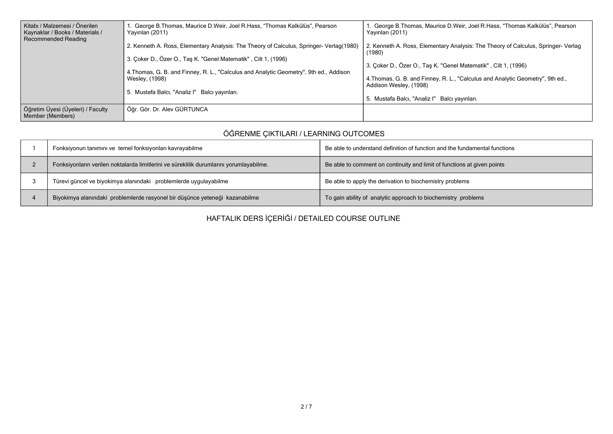| Kitabı / Malzemesi / Önerilen<br>Kaynaklar / Books / Materials /<br>Recommended Reading | 1. George B. Thomas, Maurice D. Weir, Joel R. Hass, "Thomas Kalkülüs", Pearson<br>Yayınları (2011)                                                                         | 1. George B.Thomas, Maurice D.Weir, Joel R.Hass, "Thomas Kalkülüs", Pearson<br>Yayınları (2011)                                                  |
|-----------------------------------------------------------------------------------------|----------------------------------------------------------------------------------------------------------------------------------------------------------------------------|--------------------------------------------------------------------------------------------------------------------------------------------------|
|                                                                                         | 2. Kenneth A. Ross, Elementary Analysis: The Theory of Calculus, Springer- Verlag(1980)                                                                                    | 2. Kenneth A. Ross, Elementary Analysis: The Theory of Calculus, Springer-Verlag<br>(1980)                                                       |
|                                                                                         | 3. Çoker D., Özer O., Taş K. "Genel Matematik", Cilt 1, (1996)<br>4. Thomas, G. B. and Finney, R. L., "Calculus and Analytic Geometry", 9th ed., Addison<br>Wesley, (1998) | 3. Çoker D., Özer O., Taş K. "Genel Matematik", Cilt 1, (1996)<br>4. Thomas, G. B. and Finney, R. L., "Calculus and Analytic Geometry", 9th ed., |
|                                                                                         | 5. Mustafa Balcı, "Analiz I" Balcı yayınları.                                                                                                                              | Addison Wesley, (1998)<br>5. Mustafa Balcı, "Analiz I" Balcı yayınları.                                                                          |
| Öğretim Üyesi (Üyeleri) / Faculty<br>Member (Members)                                   | Öğr. Gör. Dr. Alev GÜRTUNCA                                                                                                                                                |                                                                                                                                                  |

## **ÖĞRENME ÇIKTILARI / LEARNING OUTCOMES**

| Fonksiyonun tanımını ve temel fonksiyonları kavrayabilme                                | Be able to understand definition of function and the fundamental functions |
|-----------------------------------------------------------------------------------------|----------------------------------------------------------------------------|
| Fonksiyonların verilen noktalarda limitlerini ve süreklilik durumlarını yorumlayabilme. | Be able to comment on continuity and limit of functions at given points    |
| Türevi güncel ve biyokimya alanındaki problemlerde uygulayabilme                        | Be able to apply the derivation to biochemistry problems                   |
| Biyokimya alanındaki problemlerde rasyonel bir düşünce yeteneği kazanabilme             | To gain ability of analytic approach to biochemistry problems              |

**HAFTALIK DERS İÇERİĞİ / DETAILED COURSE OUTLINE**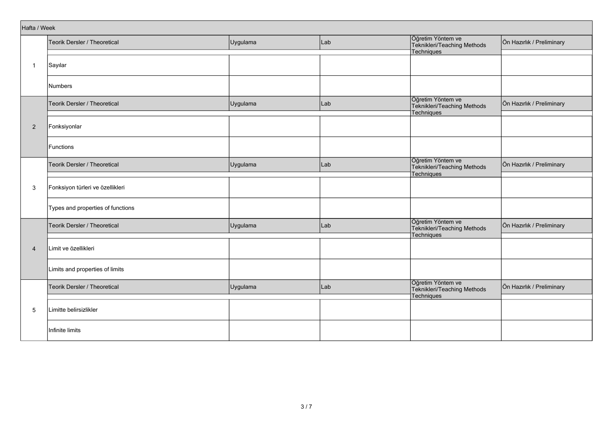| Hafta / Week   |                                   |          |     |                                                                |                           |
|----------------|-----------------------------------|----------|-----|----------------------------------------------------------------|---------------------------|
|                | Teorik Dersler / Theoretical      | Uygulama | Lab | Öğretim Yöntem ve<br>Teknikleri/Teaching Methods<br>Techniques | Ön Hazırlık / Preliminary |
| $\overline{1}$ | Sayılar                           |          |     |                                                                |                           |
|                | <b>Numbers</b>                    |          |     |                                                                |                           |
|                | Teorik Dersler / Theoretical      | Uygulama | Lab | Öğretim Yöntem ve<br>Teknikleri/Teaching Methods<br>Techniques | Ön Hazırlık / Preliminary |
| $\overline{2}$ | Fonksiyonlar                      |          |     |                                                                |                           |
|                | Functions                         |          |     |                                                                |                           |
|                | Teorik Dersler / Theoretical      | Uygulama | Lab | Öğretim Yöntem ve<br>Teknikleri/Teaching Methods<br>Techniques | Ön Hazırlık / Preliminary |
| 3              | Fonksiyon türleri ve özellikleri  |          |     |                                                                |                           |
|                | Types and properties of functions |          |     |                                                                |                           |
|                | Teorik Dersler / Theoretical      | Uygulama | Lab | Öğretim Yöntem ve<br>Teknikleri/Teaching Methods<br>Techniques | Ön Hazırlık / Preliminary |
| $\overline{4}$ | Limit ve özellikleri              |          |     |                                                                |                           |
|                | Limits and properties of limits   |          |     |                                                                |                           |
|                | Teorik Dersler / Theoretical      | Uygulama | Lab | Öğretim Yöntem ve<br>Teknikleri/Teaching Methods<br>Techniques | Ön Hazırlık / Preliminary |
| 5              | Limitte belirsizlikler            |          |     |                                                                |                           |
|                | Infinite limits                   |          |     |                                                                |                           |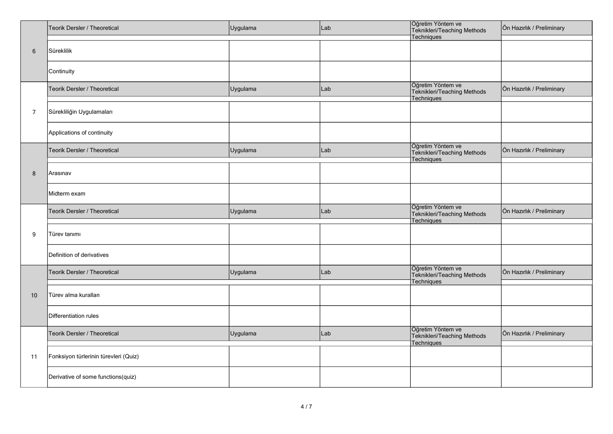|                | Teorik Dersler / Theoretical          | Uygulama | Lab | Öğretim Yöntem ve<br>Teknikleri/Teaching Methods<br>Techniques        | Ön Hazırlık / Preliminary |
|----------------|---------------------------------------|----------|-----|-----------------------------------------------------------------------|---------------------------|
| $6\phantom{1}$ | Süreklilik                            |          |     |                                                                       |                           |
|                | Continuity                            |          |     |                                                                       |                           |
|                | Teorik Dersler / Theoretical          | Uygulama | Lab | Öğretim Yöntem ve<br>Teknikleri/Teaching Methods<br>Techniques        | Ön Hazırlık / Preliminary |
| $\overline{7}$ | Sürekliliğin Uygulamaları             |          |     |                                                                       |                           |
|                | Applications of continuity            |          |     |                                                                       |                           |
|                | Teorik Dersler / Theoretical          | Uygulama | Lab | Öğretim Yöntem ve<br>Teknikleri/Teaching Methods<br>Techniques        | Ön Hazırlık / Preliminary |
| 8              | Arasınav                              |          |     |                                                                       |                           |
|                | Midterm exam                          |          |     |                                                                       |                           |
|                | Teorik Dersler / Theoretical          | Uygulama | Lab | Öğretim Yöntem ve<br>Teknikleri/Teaching Methods<br><b>Techniques</b> | Ön Hazırlık / Preliminary |
| 9              | Türev tanımı                          |          |     |                                                                       |                           |
|                | Definition of derivatives             |          |     |                                                                       |                           |
|                | Teorik Dersler / Theoretical          | Uygulama | Lab | Öğretim Yöntem ve<br>Teknikleri/Teaching Methods<br><b>Techniques</b> | Ön Hazırlık / Preliminary |
| 10             | Türev alma kuralları                  |          |     |                                                                       |                           |
|                | Differentiation rules                 |          |     |                                                                       |                           |
|                | Teorik Dersler / Theoretical          | Uygulama | Lab | Öğretim Yöntem ve<br>Teknikleri/Teaching Methods<br>Techniques        | Ön Hazırlık / Preliminary |
| 11             | Fonksiyon türlerinin türevleri (Quiz) |          |     |                                                                       |                           |
|                | Derivative of some functions(quiz)    |          |     |                                                                       |                           |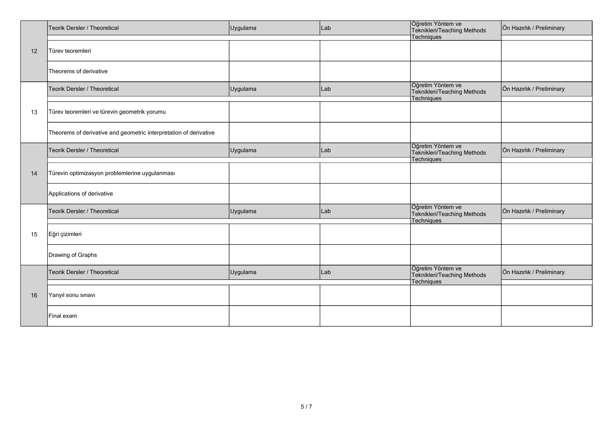|    | Teorik Dersler / Theoretical                                      | Uygulama | Lab | Öğretim Yöntem ve<br>Teknikleri/Teaching Methods               | Ön Hazırlık / Preliminary |
|----|-------------------------------------------------------------------|----------|-----|----------------------------------------------------------------|---------------------------|
| 12 | Türev teoremleri                                                  |          |     | Techniques                                                     |                           |
|    | Theorems of derivative                                            |          |     |                                                                |                           |
|    | Teorik Dersler / Theoretical                                      | Uygulama | Lab | Öğretim Yöntem ve<br>Teknikleri/Teaching Methods<br>Techniques | Ön Hazırlık / Preliminary |
| 13 | Türev teoremleri ve türevin geometrik yorumu                      |          |     |                                                                |                           |
|    | Theorems of derivative and geometric interpretation of derivative |          |     |                                                                |                           |
|    | Teorik Dersler / Theoretical                                      | Uygulama | Lab | Öğretim Yöntem ve<br>Teknikleri/Teaching Methods<br>Techniques | Ön Hazırlık / Preliminary |
| 14 | Türevin optimizasyon problemlerine uygulanması                    |          |     |                                                                |                           |
|    | Applications of derivative                                        |          |     |                                                                |                           |
|    | Teorik Dersler / Theoretical                                      | Uygulama | Lab | Öğretim Yöntem ve<br>Teknikleri/Teaching Methods<br>Techniques | Ön Hazırlık / Preliminary |
| 15 | Eğri çizimleri                                                    |          |     |                                                                |                           |
|    | Drawing of Graphs                                                 |          |     |                                                                |                           |
|    | Teorik Dersler / Theoretical                                      | Uygulama | Lab | Öğretim Yöntem ve<br>Teknikleri/Teaching Methods<br>Techniques | Ön Hazırlık / Preliminary |
| 16 | Yarıyıl sonu sınavı                                               |          |     |                                                                |                           |
|    | Final exam                                                        |          |     |                                                                |                           |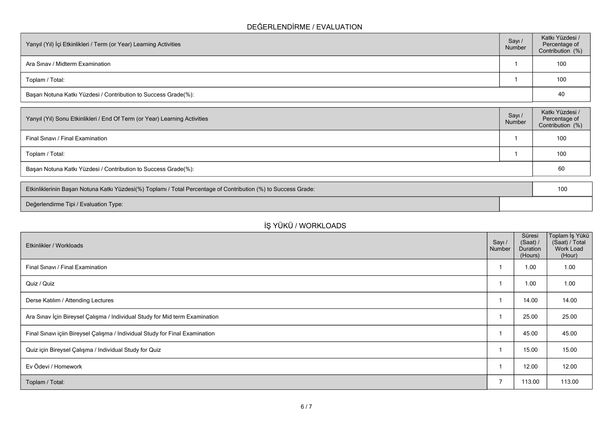### **DEĞERLENDİRME / EVALUATION**

| Yarıyıl (Yıl) İçi Etkinlikleri / Term (or Year) Learning Activities | Sayı /<br>Number | Katkı Yüzdesi /<br>Percentage of<br>Contribution (%) |
|---------------------------------------------------------------------|------------------|------------------------------------------------------|
| Ara Sinav / Midterm Examination                                     |                  | 100                                                  |
| Toplam / Total:                                                     |                  | 100                                                  |
| Başarı Notuna Katkı Yüzdesi / Contribution to Success Grade(%):     |                  | 40                                                   |

| Sayı /<br>Number | Katkı Yüzdesi /<br>Percentage of<br>Contribution (%) |
|------------------|------------------------------------------------------|
|                  | 100                                                  |
|                  | 100                                                  |
|                  | 60                                                   |
|                  |                                                      |

| Etkinliklerinin Başarı Notuna Katkı Yüzdesi(%) Toplamı / Total Percentage of Contribution (%) to Success Grade: | 100 |
|-----------------------------------------------------------------------------------------------------------------|-----|
| Değerlendirme Tipi / Evaluation Type:                                                                           |     |

# **İŞ YÜKÜ / WORKLOADS**

| Etkinlikler / Workloads                                                      | Sayı /<br>Number | Süresi<br>(Saat) /<br>Duration<br>(Hours) | ∣Toplam İş Yükü<br>(Saat) / Total<br>Work Load<br>(Hour) |
|------------------------------------------------------------------------------|------------------|-------------------------------------------|----------------------------------------------------------|
| Final Sinavi / Final Examination                                             |                  | 1.00                                      | 1.00                                                     |
| Quiz / Quiz                                                                  |                  | 1.00                                      | 1.00                                                     |
| Derse Katılım / Attending Lectures                                           |                  | 14.00                                     | 14.00                                                    |
| Ara Sınav İçin Bireysel Çalışma / Individual Study for Mid term Examination  |                  | 25.00                                     | 25.00                                                    |
| Final Sınavı içiin Bireysel Çalışma / Individual Study for Final Examination |                  | 45.00                                     | 45.00                                                    |
| Quiz için Bireysel Çalışma / Individual Study for Quiz                       |                  | 15.00                                     | 15.00                                                    |
| Ev Ödevi / Homework                                                          |                  | 12.00                                     | 12.00                                                    |
| Toplam / Total:                                                              | ⇁                | 113.00                                    | 113.00                                                   |